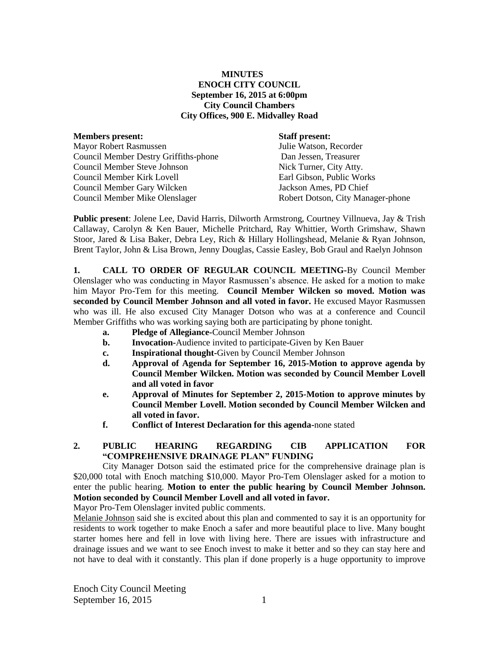## **MINUTES ENOCH CITY COUNCIL September 16, 2015 at 6:00pm City Council Chambers City Offices, 900 E. Midvalley Road**

| <b>Members present:</b>               | <b>Staff present:</b>             |
|---------------------------------------|-----------------------------------|
| <b>Mayor Robert Rasmussen</b>         | Julie Watson, Recorder            |
| Council Member Destry Griffiths-phone | Dan Jessen, Treasurer             |
| <b>Council Member Steve Johnson</b>   | Nick Turner, City Atty.           |
| Council Member Kirk Lovell            | Earl Gibson, Public Works         |
| Council Member Gary Wilcken           | Jackson Ames, PD Chief            |
| Council Member Mike Olenslager        | Robert Dotson, City Manager-phone |
|                                       |                                   |

**Public present**: Jolene Lee, David Harris, Dilworth Armstrong, Courtney Villnueva, Jay & Trish Callaway, Carolyn & Ken Bauer, Michelle Pritchard, Ray Whittier, Worth Grimshaw, Shawn Stoor, Jared & Lisa Baker, Debra Ley, Rich & Hillary Hollingshead, Melanie & Ryan Johnson, Brent Taylor, John & Lisa Brown, Jenny Douglas, Cassie Easley, Bob Graul and Raelyn Johnson

**1. CALL TO ORDER OF REGULAR COUNCIL MEETING-**By Council Member Olenslager who was conducting in Mayor Rasmussen's absence. He asked for a motion to make him Mayor Pro-Tem for this meeting. **Council Member Wilcken so moved. Motion was seconded by Council Member Johnson and all voted in favor.** He excused Mayor Rasmussen who was ill. He also excused City Manager Dotson who was at a conference and Council Member Griffiths who was working saying both are participating by phone tonight.

- **a. Pledge of Allegiance-**Council Member Johnson
- **b. Invocation-**Audience invited to participate-Given by Ken Bauer
- **c. Inspirational thought-**Given by Council Member Johnson
- **d. Approval of Agenda for September 16, 2015-Motion to approve agenda by Council Member Wilcken. Motion was seconded by Council Member Lovell and all voted in favor**
- **e. Approval of Minutes for September 2, 2015-Motion to approve minutes by Council Member Lovell. Motion seconded by Council Member Wilcken and all voted in favor.**
- **f. Conflict of Interest Declaration for this agenda-**none stated

### **2. PUBLIC HEARING REGARDING CIB APPLICATION FOR "COMPREHENSIVE DRAINAGE PLAN" FUNDING**

City Manager Dotson said the estimated price for the comprehensive drainage plan is \$20,000 total with Enoch matching \$10,000. Mayor Pro-Tem Olenslager asked for a motion to enter the public hearing. **Motion to enter the public hearing by Council Member Johnson. Motion seconded by Council Member Lovell and all voted in favor.**

Mayor Pro-Tem Olenslager invited public comments.

Melanie Johnson said she is excited about this plan and commented to say it is an opportunity for residents to work together to make Enoch a safer and more beautiful place to live. Many bought starter homes here and fell in love with living here. There are issues with infrastructure and drainage issues and we want to see Enoch invest to make it better and so they can stay here and not have to deal with it constantly. This plan if done properly is a huge opportunity to improve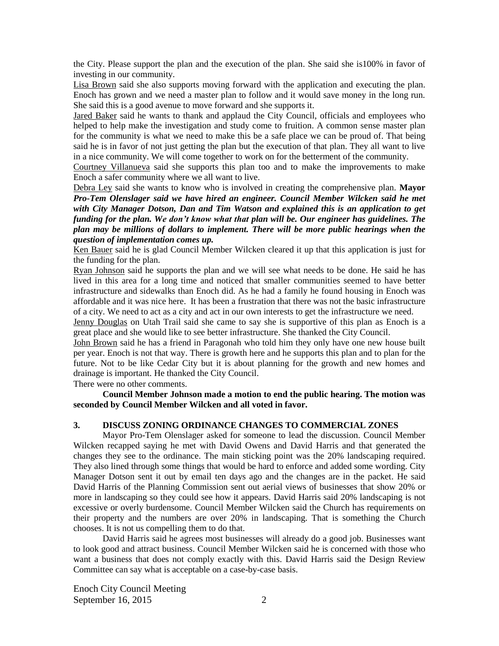the City. Please support the plan and the execution of the plan. She said she is100% in favor of investing in our community.

Lisa Brown said she also supports moving forward with the application and executing the plan. Enoch has grown and we need a master plan to follow and it would save money in the long run. She said this is a good avenue to move forward and she supports it.

Jared Baker said he wants to thank and applaud the City Council, officials and employees who helped to help make the investigation and study come to fruition. A common sense master plan for the community is what we need to make this be a safe place we can be proud of. That being said he is in favor of not just getting the plan but the execution of that plan. They all want to live in a nice community. We will come together to work on for the betterment of the community.

Courtney Villanueva said she supports this plan too and to make the improvements to make Enoch a safer community where we all want to live.

Debra Ley said she wants to know who is involved in creating the comprehensive plan. **Mayor**  *Pro-Tem Olenslager said we have hired an engineer. Council Member Wilcken said he met with City Manager Dotson, Dan and Tim Watson and explained this is an application to get funding for the plan. We don't know what that plan will be. Our engineer has guidelines. The plan may be millions of dollars to implement. There will be more public hearings when the question of implementation comes up.*

Ken Bauer said he is glad Council Member Wilcken cleared it up that this application is just for the funding for the plan.

Ryan Johnson said he supports the plan and we will see what needs to be done. He said he has lived in this area for a long time and noticed that smaller communities seemed to have better infrastructure and sidewalks than Enoch did. As he had a family he found housing in Enoch was affordable and it was nice here. It has been a frustration that there was not the basic infrastructure of a city. We need to act as a city and act in our own interests to get the infrastructure we need.

Jenny Douglas on Utah Trail said she came to say she is supportive of this plan as Enoch is a great place and she would like to see better infrastructure. She thanked the City Council.

John Brown said he has a friend in Paragonah who told him they only have one new house built per year. Enoch is not that way. There is growth here and he supports this plan and to plan for the future. Not to be like Cedar City but it is about planning for the growth and new homes and drainage is important. He thanked the City Council.

There were no other comments.

**Council Member Johnson made a motion to end the public hearing. The motion was seconded by Council Member Wilcken and all voted in favor.**

#### **3. DISCUSS ZONING ORDINANCE CHANGES TO COMMERCIAL ZONES**

Mayor Pro-Tem Olenslager asked for someone to lead the discussion. Council Member Wilcken recapped saying he met with David Owens and David Harris and that generated the changes they see to the ordinance. The main sticking point was the 20% landscaping required. They also lined through some things that would be hard to enforce and added some wording. City Manager Dotson sent it out by email ten days ago and the changes are in the packet. He said David Harris of the Planning Commission sent out aerial views of businesses that show 20% or more in landscaping so they could see how it appears. David Harris said 20% landscaping is not excessive or overly burdensome. Council Member Wilcken said the Church has requirements on their property and the numbers are over 20% in landscaping. That is something the Church chooses. It is not us compelling them to do that.

David Harris said he agrees most businesses will already do a good job. Businesses want to look good and attract business. Council Member Wilcken said he is concerned with those who want a business that does not comply exactly with this. David Harris said the Design Review Committee can say what is acceptable on a case-by-case basis.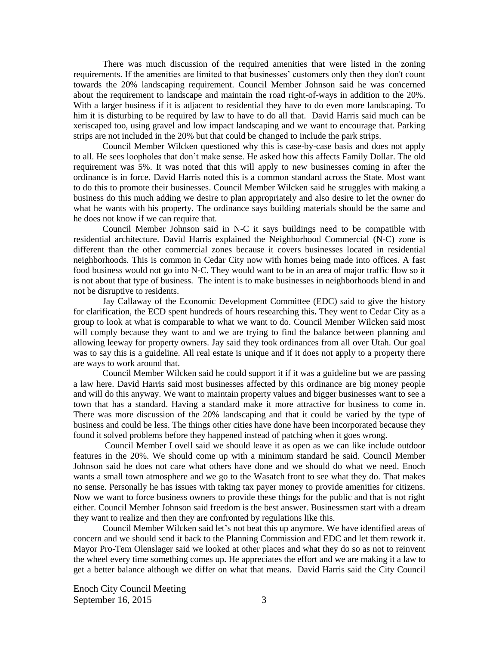There was much discussion of the required amenities that were listed in the zoning requirements. If the amenities are limited to that businesses' customers only then they don't count towards the 20% landscaping requirement. Council Member Johnson said he was concerned about the requirement to landscape and maintain the road right-of-ways in addition to the 20%. With a larger business if it is adjacent to residential they have to do even more landscaping. To him it is disturbing to be required by law to have to do all that. David Harris said much can be xeriscaped too, using gravel and low impact landscaping and we want to encourage that. Parking strips are not included in the 20% but that could be changed to include the park strips.

Council Member Wilcken questioned why this is case-by-case basis and does not apply to all. He sees loopholes that don't make sense. He asked how this affects Family Dollar. The old requirement was 5%. It was noted that this will apply to new businesses coming in after the ordinance is in force. David Harris noted this is a common standard across the State. Most want to do this to promote their businesses. Council Member Wilcken said he struggles with making a business do this much adding we desire to plan appropriately and also desire to let the owner do what he wants with his property. The ordinance says building materials should be the same and he does not know if we can require that.

Council Member Johnson said in N-C it says buildings need to be compatible with residential architecture. David Harris explained the Neighborhood Commercial (N-C) zone is different than the other commercial zones because it covers businesses located in residential neighborhoods. This is common in Cedar City now with homes being made into offices. A fast food business would not go into N-C. They would want to be in an area of major traffic flow so it is not about that type of business. The intent is to make businesses in neighborhoods blend in and not be disruptive to residents.

Jay Callaway of the Economic Development Committee (EDC) said to give the history for clarification, the ECD spent hundreds of hours researching this**.** They went to Cedar City as a group to look at what is comparable to what we want to do. Council Member Wilcken said most will comply because they want to and we are trying to find the balance between planning and allowing leeway for property owners. Jay said they took ordinances from all over Utah. Our goal was to say this is a guideline. All real estate is unique and if it does not apply to a property there are ways to work around that.

Council Member Wilcken said he could support it if it was a guideline but we are passing a law here. David Harris said most businesses affected by this ordinance are big money people and will do this anyway. We want to maintain property values and bigger businesses want to see a town that has a standard. Having a standard make it more attractive for business to come in. There was more discussion of the 20% landscaping and that it could be varied by the type of business and could be less. The things other cities have done have been incorporated because they found it solved problems before they happened instead of patching when it goes wrong.

Council Member Lovell said we should leave it as open as we can like include outdoor features in the 20%. We should come up with a minimum standard he said. Council Member Johnson said he does not care what others have done and we should do what we need. Enoch wants a small town atmosphere and we go to the Wasatch front to see what they do. That makes no sense. Personally he has issues with taking tax payer money to provide amenities for citizens. Now we want to force business owners to provide these things for the public and that is not right either. Council Member Johnson said freedom is the best answer. Businessmen start with a dream they want to realize and then they are confronted by regulations like this.

Council Member Wilcken said let's not beat this up anymore. We have identified areas of concern and we should send it back to the Planning Commission and EDC and let them rework it. Mayor Pro-Tem Olenslager said we looked at other places and what they do so as not to reinvent the wheel every time something comes up**.** He appreciates the effort and we are making it a law to get a better balance although we differ on what that means. David Harris said the City Council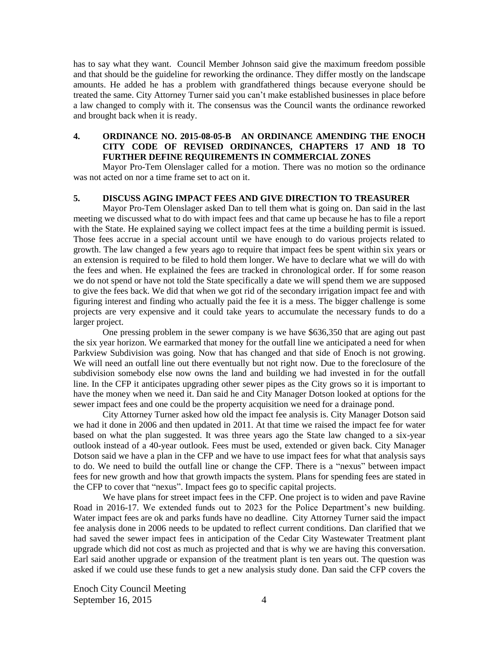has to say what they want. Council Member Johnson said give the maximum freedom possible and that should be the guideline for reworking the ordinance. They differ mostly on the landscape amounts. He added he has a problem with grandfathered things because everyone should be treated the same. City Attorney Turner said you can't make established businesses in place before a law changed to comply with it. The consensus was the Council wants the ordinance reworked and brought back when it is ready.

### **4. ORDINANCE NO. 2015-08-05-B AN ORDINANCE AMENDING THE ENOCH CITY CODE OF REVISED ORDINANCES, CHAPTERS 17 AND 18 TO FURTHER DEFINE REQUIREMENTS IN COMMERCIAL ZONES**

Mayor Pro-Tem Olenslager called for a motion. There was no motion so the ordinance was not acted on nor a time frame set to act on it.

#### **5. DISCUSS AGING IMPACT FEES AND GIVE DIRECTION TO TREASURER**

Mayor Pro-Tem Olenslager asked Dan to tell them what is going on. Dan said in the last meeting we discussed what to do with impact fees and that came up because he has to file a report with the State. He explained saying we collect impact fees at the time a building permit is issued. Those fees accrue in a special account until we have enough to do various projects related to growth. The law changed a few years ago to require that impact fees be spent within six years or an extension is required to be filed to hold them longer. We have to declare what we will do with the fees and when. He explained the fees are tracked in chronological order. If for some reason we do not spend or have not told the State specifically a date we will spend them we are supposed to give the fees back. We did that when we got rid of the secondary irrigation impact fee and with figuring interest and finding who actually paid the fee it is a mess. The bigger challenge is some projects are very expensive and it could take years to accumulate the necessary funds to do a larger project.

One pressing problem in the sewer company is we have \$636,350 that are aging out past the six year horizon. We earmarked that money for the outfall line we anticipated a need for when Parkview Subdivision was going. Now that has changed and that side of Enoch is not growing. We will need an outfall line out there eventually but not right now. Due to the foreclosure of the subdivision somebody else now owns the land and building we had invested in for the outfall line. In the CFP it anticipates upgrading other sewer pipes as the City grows so it is important to have the money when we need it. Dan said he and City Manager Dotson looked at options for the sewer impact fees and one could be the property acquisition we need for a drainage pond.

City Attorney Turner asked how old the impact fee analysis is. City Manager Dotson said we had it done in 2006 and then updated in 2011. At that time we raised the impact fee for water based on what the plan suggested. It was three years ago the State law changed to a six-year outlook instead of a 40-year outlook. Fees must be used, extended or given back. City Manager Dotson said we have a plan in the CFP and we have to use impact fees for what that analysis says to do. We need to build the outfall line or change the CFP. There is a "nexus" between impact fees for new growth and how that growth impacts the system. Plans for spending fees are stated in the CFP to cover that "nexus". Impact fees go to specific capital projects.

We have plans for street impact fees in the CFP. One project is to widen and pave Ravine Road in 2016-17. We extended funds out to 2023 for the Police Department's new building. Water impact fees are ok and parks funds have no deadline. City Attorney Turner said the impact fee analysis done in 2006 needs to be updated to reflect current conditions. Dan clarified that we had saved the sewer impact fees in anticipation of the Cedar City Wastewater Treatment plant upgrade which did not cost as much as projected and that is why we are having this conversation. Earl said another upgrade or expansion of the treatment plant is ten years out. The question was asked if we could use these funds to get a new analysis study done. Dan said the CFP covers the